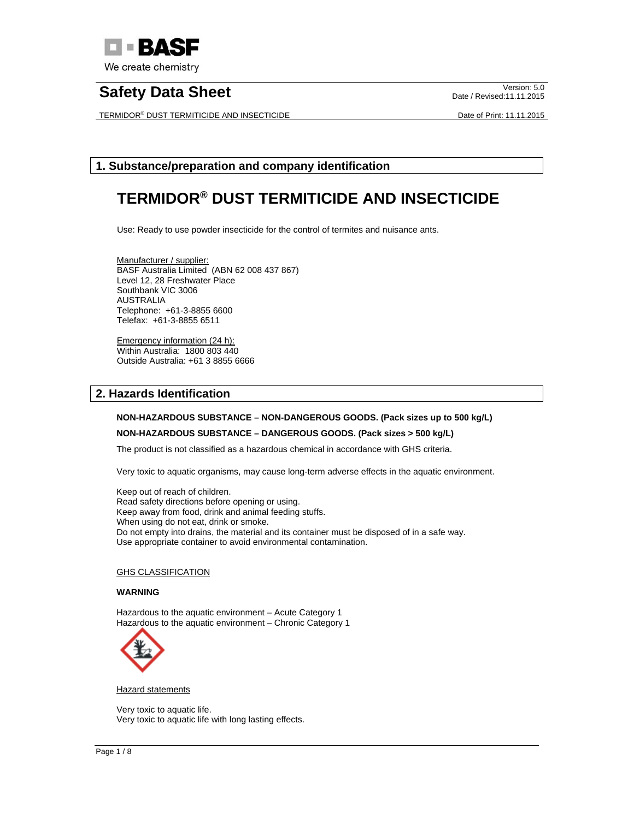

TERMIDOR® DUST TERMITICIDE AND INSECTICIDE **Example 2018** Date of Print: 11.11.2015

Date / Revised:11.11.2015

# **1. Substance/preparation and company identification**

# **TERMIDOR® DUST TERMITICIDE AND INSECTICIDE**

Use: Ready to use powder insecticide for the control of termites and nuisance ants.

Manufacturer / supplier: BASF Australia Limited (ABN 62 008 437 867) Level 12, 28 Freshwater Place Southbank VIC 3006 AUSTRALIA Telephone: +61-3-8855 6600 Telefax: +61-3-8855 6511

Emergency information (24 h): Within Australia: 1800 803 440 Outside Australia: +61 3 8855 6666

# **2. Hazards Identification**

## **NON-HAZARDOUS SUBSTANCE – NON-DANGEROUS GOODS. (Pack sizes up to 500 kg/L)**

## **NON-HAZARDOUS SUBSTANCE – DANGEROUS GOODS. (Pack sizes > 500 kg/L)**

The product is not classified as a hazardous chemical in accordance with GHS criteria.

Very toxic to aquatic organisms, may cause long-term adverse effects in the aquatic environment.

Keep out of reach of children. Read safety directions before opening or using. Keep away from food, drink and animal feeding stuffs. When using do not eat, drink or smoke. Do not empty into drains, the material and its container must be disposed of in a safe way. Use appropriate container to avoid environmental contamination.

## **GHS CLASSIFICATION**

## **WARNING**

Hazardous to the aquatic environment – Acute Category 1 Hazardous to the aquatic environment – Chronic Category 1



**Hazard statements** 

Very toxic to aquatic life. Very toxic to aquatic life with long lasting effects.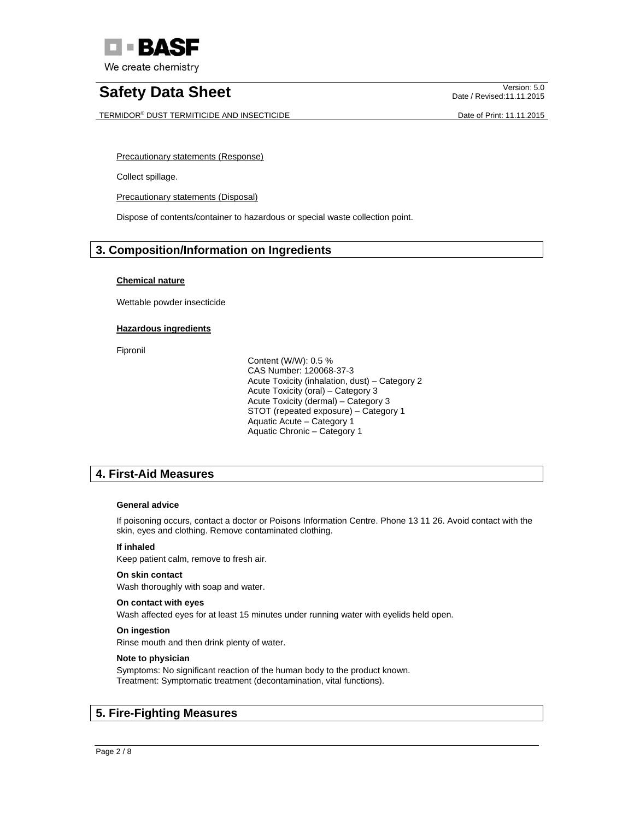

TERMIDOR® DUST TERMITICIDE AND INSECTICIDE **Example 2018** Date of Print: 11.11.2015

Date / Revised:11.11.2015

Precautionary statements (Response)

Collect spillage.

Precautionary statements (Disposal)

Dispose of contents/container to hazardous or special waste collection point.

# **3. Composition/Information on Ingredients**

# **Chemical nature**

Wettable powder insecticide

# **Hazardous ingredients**

Fipronil

 Content (W/W): 0.5 % CAS Number: 120068-37-3 Acute Toxicity (inhalation, dust) – Category 2 Acute Toxicity (oral) – Category 3 Acute Toxicity (dermal) – Category 3 STOT (repeated exposure) – Category 1 Aquatic Acute – Category 1 Aquatic Chronic – Category 1

# **4. First-Aid Measures**

# **General advice**

If poisoning occurs, contact a doctor or Poisons Information Centre. Phone 13 11 26. Avoid contact with the skin, eyes and clothing. Remove contaminated clothing.

# **If inhaled**

Keep patient calm, remove to fresh air.

## **On skin contact**

Wash thoroughly with soap and water.

## **On contact with eyes**

Wash affected eyes for at least 15 minutes under running water with eyelids held open.

## **On ingestion**

Rinse mouth and then drink plenty of water.

# **Note to physician**

Symptoms: No significant reaction of the human body to the product known. Treatment: Symptomatic treatment (decontamination, vital functions).

# **5. Fire-Fighting Measures**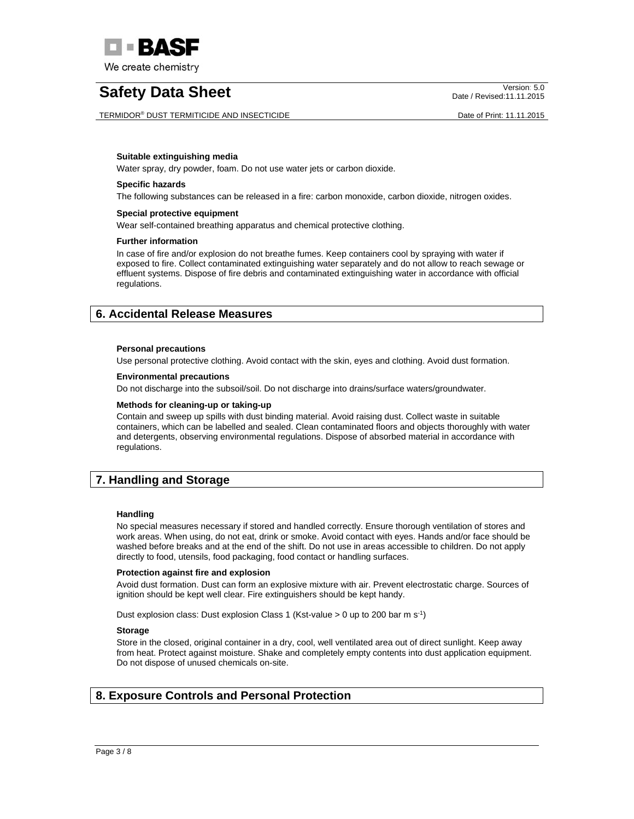

TERMIDOR® DUST TERMITICIDE AND INSECTICIDE **Example 2018** Date of Print: 11.11.2015

Date / Revised:11.11.2015

#### **Suitable extinguishing media**

Water spray, dry powder, foam. Do not use water jets or carbon dioxide.

#### **Specific hazards**

The following substances can be released in a fire: carbon monoxide, carbon dioxide, nitrogen oxides.

#### **Special protective equipment**

Wear self-contained breathing apparatus and chemical protective clothing.

#### **Further information**

In case of fire and/or explosion do not breathe fumes. Keep containers cool by spraying with water if exposed to fire. Collect contaminated extinguishing water separately and do not allow to reach sewage or effluent systems. Dispose of fire debris and contaminated extinguishing water in accordance with official regulations.

# **6. Accidental Release Measures**

#### **Personal precautions**

Use personal protective clothing. Avoid contact with the skin, eyes and clothing. Avoid dust formation.

#### **Environmental precautions**

Do not discharge into the subsoil/soil. Do not discharge into drains/surface waters/groundwater.

#### **Methods for cleaning-up or taking-up**

Contain and sweep up spills with dust binding material. Avoid raising dust. Collect waste in suitable containers, which can be labelled and sealed. Clean contaminated floors and objects thoroughly with water and detergents, observing environmental regulations. Dispose of absorbed material in accordance with regulations.

# **7. Handling and Storage**

#### **Handling**

No special measures necessary if stored and handled correctly. Ensure thorough ventilation of stores and work areas. When using, do not eat, drink or smoke. Avoid contact with eyes. Hands and/or face should be washed before breaks and at the end of the shift. Do not use in areas accessible to children. Do not apply directly to food, utensils, food packaging, food contact or handling surfaces.

#### **Protection against fire and explosion**

Avoid dust formation. Dust can form an explosive mixture with air. Prevent electrostatic charge. Sources of ignition should be kept well clear. Fire extinguishers should be kept handy.

Dust explosion class: Dust explosion Class 1 (Kst-value > 0 up to 200 bar m s-1)

# **Storage**

Store in the closed, original container in a dry, cool, well ventilated area out of direct sunlight. Keep away from heat. Protect against moisture. Shake and completely empty contents into dust application equipment. Do not dispose of unused chemicals on-site.

# **8. Exposure Controls and Personal Protection**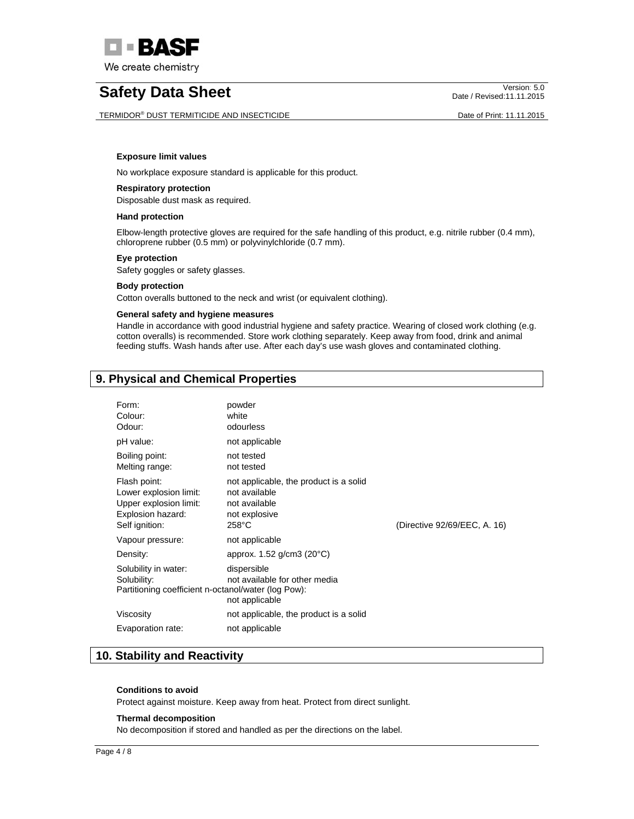

TERMIDOR® DUST TERMITICIDE AND INSECTICIDE **Example 2018** Date of Print: 11.11.2015

Date / Revised:11.11.2015

#### **Exposure limit values**

No workplace exposure standard is applicable for this product.

## **Respiratory protection**

Disposable dust mask as required.

# **Hand protection**

Elbow-length protective gloves are required for the safe handling of this product, e.g. nitrile rubber (0.4 mm), chloroprene rubber (0.5 mm) or polyvinylchloride (0.7 mm).

#### **Eye protection**

Safety goggles or safety glasses.

#### **Body protection**

Cotton overalls buttoned to the neck and wrist (or equivalent clothing).

# **General safety and hygiene measures**

Handle in accordance with good industrial hygiene and safety practice. Wearing of closed work clothing (e.g. cotton overalls) is recommended. Store work clothing separately. Keep away from food, drink and animal feeding stuffs. Wash hands after use. After each day's use wash gloves and contaminated clothing.

# **9. Physical and Chemical Properties**

| Form:<br>Colour:<br>Odour:                                                                              | powder<br>white<br>odourless                                                                                 |                              |
|---------------------------------------------------------------------------------------------------------|--------------------------------------------------------------------------------------------------------------|------------------------------|
| pH value:                                                                                               | not applicable                                                                                               |                              |
| Boiling point:<br>Melting range:                                                                        | not tested<br>not tested                                                                                     |                              |
| Flash point:<br>Lower explosion limit:<br>Upper explosion limit:<br>Explosion hazard:<br>Self ignition: | not applicable, the product is a solid<br>not available<br>not available<br>not explosive<br>$258^{\circ}$ C | (Directive 92/69/EEC, A. 16) |
| Vapour pressure:                                                                                        | not applicable                                                                                               |                              |
| Density:                                                                                                | approx. $1.52$ g/cm3 (20 $^{\circ}$ C)                                                                       |                              |
| Solubility in water:<br>Solubility:<br>Partitioning coefficient n-octanol/water (log Pow):              | dispersible<br>not available for other media<br>not applicable                                               |                              |
| Viscosity                                                                                               | not applicable, the product is a solid                                                                       |                              |
| Evaporation rate:                                                                                       | not applicable                                                                                               |                              |

# **10. Stability and Reactivity**

#### **Conditions to avoid**

Protect against moisture. Keep away from heat. Protect from direct sunlight.

#### **Thermal decomposition**

No decomposition if stored and handled as per the directions on the label.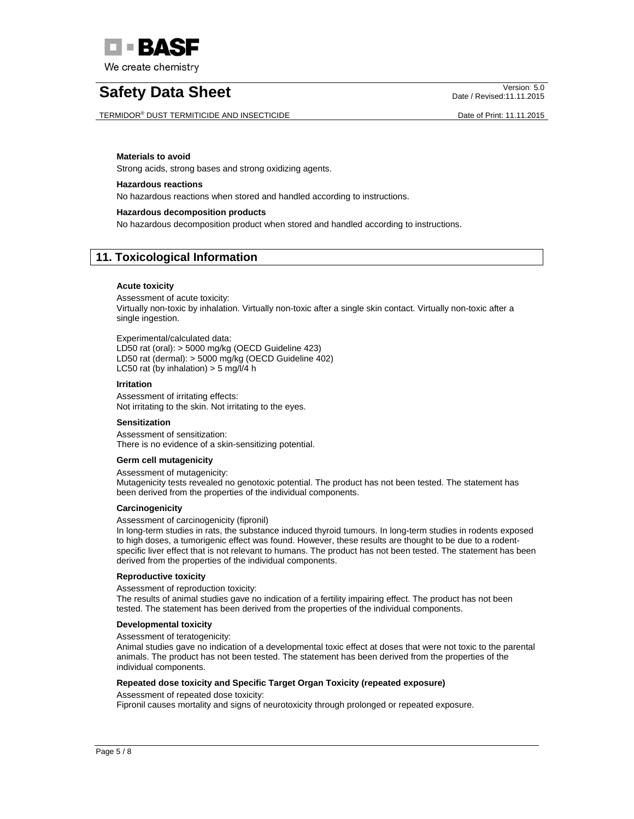

TERMIDOR® DUST TERMITICIDE AND INSECTICIDE **Example 2018** Date of Print: 11.11.2015

Date / Revised:11.11.2015

#### **Materials to avoid**

Strong acids, strong bases and strong oxidizing agents.

#### **Hazardous reactions**

No hazardous reactions when stored and handled according to instructions.

#### **Hazardous decomposition products**

No hazardous decomposition product when stored and handled according to instructions.

# **11. Toxicological Information**

#### **Acute toxicity**

Assessment of acute toxicity: Virtually non-toxic by inhalation. Virtually non-toxic after a single skin contact. Virtually non-toxic after a single ingestion.

Experimental/calculated data: LD50 rat (oral): > 5000 mg/kg (OECD Guideline 423) LD50 rat (dermal): > 5000 mg/kg (OECD Guideline 402) LC50 rat (by inhalation)  $>$  5 mg/l/4 h

#### **Irritation**

Assessment of irritating effects: Not irritating to the skin. Not irritating to the eyes.

## **Sensitization**

Assessment of sensitization: There is no evidence of a skin-sensitizing potential.

## **Germ cell mutagenicity**

Assessment of mutagenicity:

Mutagenicity tests revealed no genotoxic potential. The product has not been tested. The statement has been derived from the properties of the individual components.

#### **Carcinogenicity**

Assessment of carcinogenicity (fipronil)

In long-term studies in rats, the substance induced thyroid tumours. In long-term studies in rodents exposed to high doses, a tumorigenic effect was found. However, these results are thought to be due to a rodentspecific liver effect that is not relevant to humans. The product has not been tested. The statement has been derived from the properties of the individual components.

#### **Reproductive toxicity**

Assessment of reproduction toxicity:

The results of animal studies gave no indication of a fertility impairing effect. The product has not been tested. The statement has been derived from the properties of the individual components.

#### **Developmental toxicity**

#### Assessment of teratogenicity:

Animal studies gave no indication of a developmental toxic effect at doses that were not toxic to the parental animals. The product has not been tested. The statement has been derived from the properties of the individual components.

## **Repeated dose toxicity and Specific Target Organ Toxicity (repeated exposure)**

Assessment of repeated dose toxicity:

Fipronil causes mortality and signs of neurotoxicity through prolonged or repeated exposure.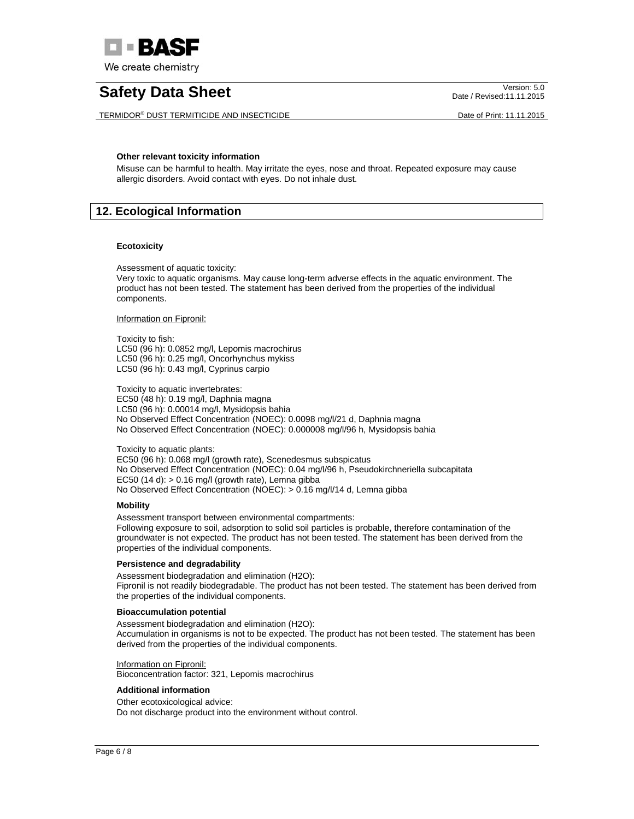

TERMIDOR® DUST TERMITICIDE AND INSECTICIDE DATE DATE DATE DATE DATE DATE OF PRINT: 11.11.2015

Date / Revised:11.11.2015

## **Other relevant toxicity information**

Misuse can be harmful to health. May irritate the eyes, nose and throat. Repeated exposure may cause allergic disorders. Avoid contact with eyes. Do not inhale dust.

# **12. Ecological Information**

## **Ecotoxicity**

Assessment of aquatic toxicity:

Very toxic to aquatic organisms. May cause long-term adverse effects in the aquatic environment. The product has not been tested. The statement has been derived from the properties of the individual components.

Information on Fipronil:

Toxicity to fish: LC50 (96 h): 0.0852 mg/l, Lepomis macrochirus LC50 (96 h): 0.25 mg/l, Oncorhynchus mykiss LC50 (96 h): 0.43 mg/l, Cyprinus carpio

Toxicity to aquatic invertebrates: EC50 (48 h): 0.19 mg/l, Daphnia magna LC50 (96 h): 0.00014 mg/l, Mysidopsis bahia No Observed Effect Concentration (NOEC): 0.0098 mg/l/21 d, Daphnia magna No Observed Effect Concentration (NOEC): 0.000008 mg/l/96 h, Mysidopsis bahia

Toxicity to aquatic plants: EC50 (96 h): 0.068 mg/l (growth rate), Scenedesmus subspicatus No Observed Effect Concentration (NOEC): 0.04 mg/l/96 h, Pseudokirchneriella subcapitata EC50 (14 d):  $> 0.16$  mg/l (growth rate), Lemna gibba No Observed Effect Concentration (NOEC): > 0.16 mg/l/14 d, Lemna gibba

## **Mobility**

Assessment transport between environmental compartments: Following exposure to soil, adsorption to solid soil particles is probable, therefore contamination of the groundwater is not expected. The product has not been tested. The statement has been derived from the properties of the individual components.

## **Persistence and degradability**

Assessment biodegradation and elimination (H2O): Fipronil is not readily biodegradable. The product has not been tested. The statement has been derived from the properties of the individual components.

## **Bioaccumulation potential**

Assessment biodegradation and elimination (H2O): Accumulation in organisms is not to be expected. The product has not been tested. The statement has been derived from the properties of the individual components.

Information on Fipronil:

Bioconcentration factor: 321, Lepomis macrochirus

## **Additional information**

Other ecotoxicological advice: Do not discharge product into the environment without control.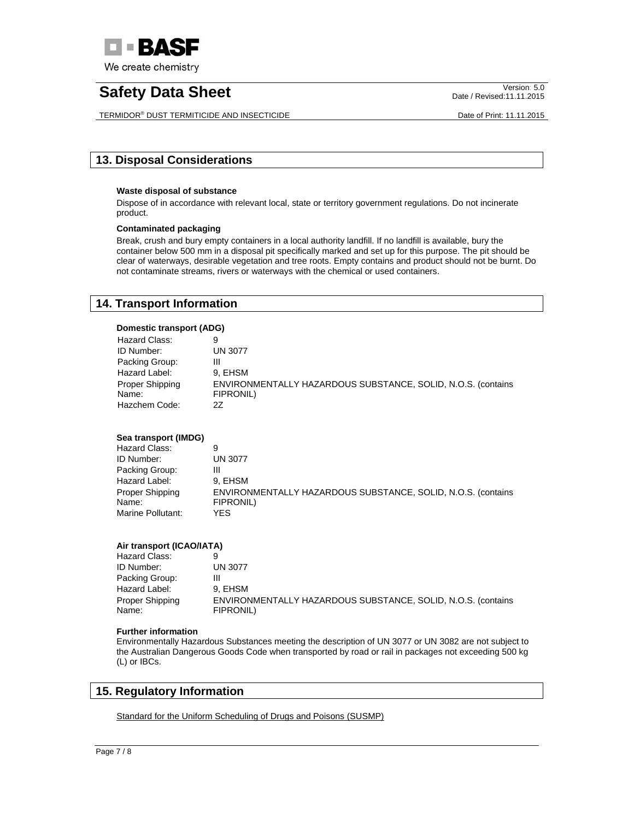

TERMIDOR® DUST TERMITICIDE AND INSECTICIDE **Example 2018** 2018 2019 Date of Print: 11.11.2015

Date / Revised:11.11.2015

# **13. Disposal Considerations**

## **Waste disposal of substance**

Dispose of in accordance with relevant local, state or territory government regulations. Do not incinerate product.

## **Contaminated packaging**

Break, crush and bury empty containers in a local authority landfill. If no landfill is available, bury the container below 500 mm in a disposal pit specifically marked and set up for this purpose. The pit should be clear of waterways, desirable vegetation and tree roots. Empty contains and product should not be burnt. Do not contaminate streams, rivers or waterways with the chemical or used containers.

# **14. Transport Information**

## **Domestic transport (ADG)**

| Hazard Class:   |                                                              |
|-----------------|--------------------------------------------------------------|
| ID Number:      | <b>UN 3077</b>                                               |
| Packing Group:  | Ш                                                            |
| Hazard Label:   | 9. EHSM                                                      |
| Proper Shipping | ENVIRONMENTALLY HAZARDOUS SUBSTANCE, SOLID, N.O.S. (contains |
| Name:           | FIPRONIL)                                                    |
| Hazchem Code:   | 27                                                           |

# **Sea transport (IMDG)**

| Hazard Class:     | 9                                                            |
|-------------------|--------------------------------------------------------------|
| ID Number:        | UN 3077                                                      |
| Packing Group:    | Ш                                                            |
| Hazard Label:     | 9. EHSM                                                      |
| Proper Shipping   | ENVIRONMENTALLY HAZARDOUS SUBSTANCE, SOLID, N.O.S. (contains |
| Name:             | FIPRONIL)                                                    |
| Marine Pollutant: | YFS.                                                         |

# **Air transport (ICAO/IATA)**

| Hazard Class:   |                                                              |
|-----------------|--------------------------------------------------------------|
| ID Number:      | <b>UN 3077</b>                                               |
| Packing Group:  | Ш                                                            |
| Hazard Label:   | 9. EHSM                                                      |
| Proper Shipping | ENVIRONMENTALLY HAZARDOUS SUBSTANCE, SOLID, N.O.S. (contains |
| Name:           | FIPRONIL)                                                    |

## **Further information**

Environmentally Hazardous Substances meeting the description of UN 3077 or UN 3082 are not subject to the Australian Dangerous Goods Code when transported by road or rail in packages not exceeding 500 kg (L) or IBCs.

# **15. Regulatory Information**

Standard for the Uniform Scheduling of Drugs and Poisons (SUSMP)